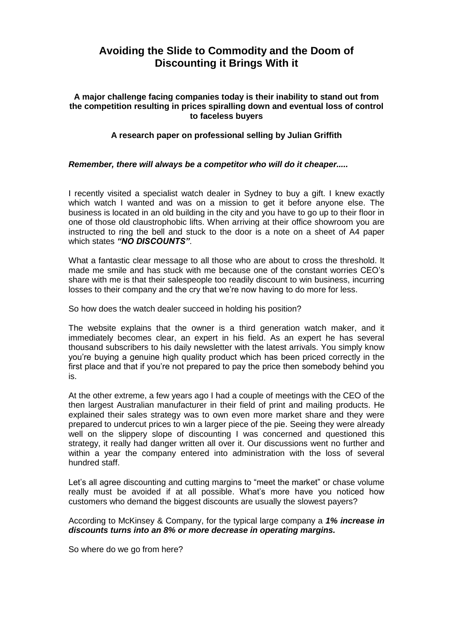# **Avoiding the Slide to Commodity and the Doom of Discounting it Brings With it**

### **A major challenge facing companies today is their inability to stand out from the competition resulting in prices spiralling down and eventual loss of control to faceless buyers**

## **A research paper on professional selling by Julian Griffith**

## *Remember, there will always be a competitor who will do it cheaper.....*

I recently visited a specialist watch dealer in Sydney to buy a gift. I knew exactly which watch I wanted and was on a mission to get it before anyone else. The business is located in an old building in the city and you have to go up to their floor in one of those old claustrophobic lifts. When arriving at their office showroom you are instructed to ring the bell and stuck to the door is a note on a sheet of A4 paper which states *"NO DISCOUNTS"*.

What a fantastic clear message to all those who are about to cross the threshold. It made me smile and has stuck with me because one of the constant worries CEO's share with me is that their salespeople too readily discount to win business, incurring losses to their company and the cry that we're now having to do more for less.

So how does the watch dealer succeed in holding his position?

The website explains that the owner is a third generation watch maker, and it immediately becomes clear, an expert in his field. As an expert he has several thousand subscribers to his daily newsletter with the latest arrivals. You simply know you're buying a genuine high quality product which has been priced correctly in the first place and that if you're not prepared to pay the price then somebody behind you is.

At the other extreme, a few years ago I had a couple of meetings with the CEO of the then largest Australian manufacturer in their field of print and mailing products. He explained their sales strategy was to own even more market share and they were prepared to undercut prices to win a larger piece of the pie. Seeing they were already well on the slippery slope of discounting I was concerned and questioned this strategy, it really had danger written all over it. Our discussions went no further and within a year the company entered into administration with the loss of several hundred staff.

Let's all agree discounting and cutting margins to "meet the market" or chase volume really must be avoided if at all possible. What's more have you noticed how customers who demand the biggest discounts are usually the slowest payers?

According to McKinsey & Company, for the typical large company a *1% increase in discounts turns into an 8% or more decrease in operating margins.*

So where do we go from here?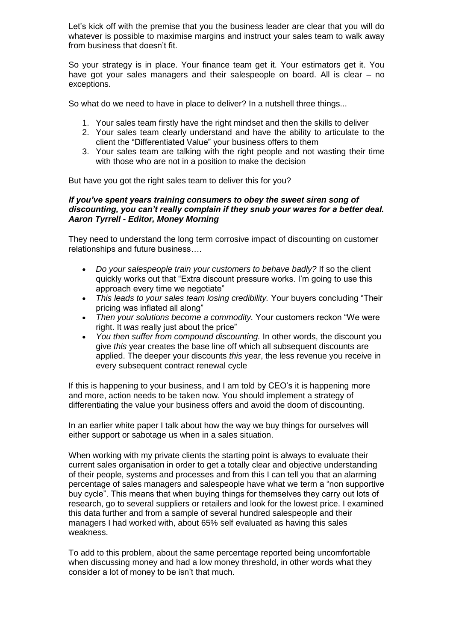Let's kick off with the premise that you the business leader are clear that you will do whatever is possible to maximise margins and instruct your sales team to walk away from business that doesn't fit.

So your strategy is in place. Your finance team get it. Your estimators get it. You have got your sales managers and their salespeople on board. All is clear – no exceptions.

So what do we need to have in place to deliver? In a nutshell three things...

- 1. Your sales team firstly have the right mindset and then the skills to deliver
- 2. Your sales team clearly understand and have the ability to articulate to the client the "Differentiated Value" your business offers to them
- 3. Your sales team are talking with the right people and not wasting their time with those who are not in a position to make the decision

But have you got the right sales team to deliver this for you?

### *If you've spent years training consumers to obey the sweet siren song of discounting, you can't really complain if they snub your wares for a better deal. Aaron Tyrrell - Editor, Money Morning*

They need to understand the long term corrosive impact of discounting on customer relationships and future business….

- *Do your salespeople train your customers to behave badly?* If so the client quickly works out that "Extra discount pressure works. I'm going to use this approach every time we negotiate"
- *This leads to your sales team losing credibility.* Your buyers concluding "Their pricing was inflated all along"
- *Then your solutions become a commodity.* Your customers reckon "We were right. It *was* really just about the price"
- *You then suffer from compound discounting.* In other words, the discount you give *this* year creates the base line off which all subsequent discounts are applied. The deeper your discounts *this* year, the less revenue you receive in every subsequent contract renewal cycle

If this is happening to your business, and I am told by CEO's it is happening more and more, action needs to be taken now. You should implement a strategy of differentiating the value your business offers and avoid the doom of discounting.

In an earlier white paper I talk about how the way we buy things for ourselves will either support or sabotage us when in a sales situation.

When working with my private clients the starting point is always to evaluate their current sales organisation in order to get a totally clear and objective understanding of their people, systems and processes and from this I can tell you that an alarming percentage of sales managers and salespeople have what we term a "non supportive buy cycle". This means that when buying things for themselves they carry out lots of research, go to several suppliers or retailers and look for the lowest price. I examined this data further and from a sample of several hundred salespeople and their managers I had worked with, about 65% self evaluated as having this sales weakness.

To add to this problem, about the same percentage reported being uncomfortable when discussing money and had a low money threshold, in other words what they consider a lot of money to be isn't that much.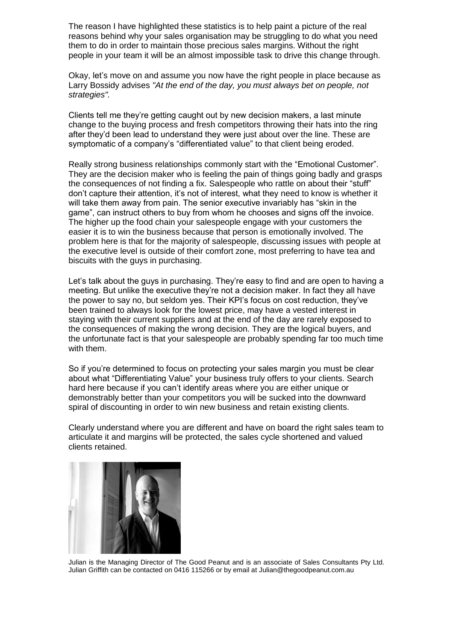The reason I have highlighted these statistics is to help paint a picture of the real reasons behind why your sales organisation may be struggling to do what you need them to do in order to maintain those precious sales margins. Without the right people in your team it will be an almost impossible task to drive this change through.

Okay, let's move on and assume you now have the right people in place because as Larry Bossidy advises *"At the end of the day, you must always bet on people, not strategies".*

Clients tell me they're getting caught out by new decision makers, a last minute change to the buying process and fresh competitors throwing their hats into the ring after they'd been lead to understand they were just about over the line. These are symptomatic of a company's "differentiated value" to that client being eroded.

Really strong business relationships commonly start with the "Emotional Customer". They are the decision maker who is feeling the pain of things going badly and grasps the consequences of not finding a fix. Salespeople who rattle on about their "stuff" don't capture their attention, it's not of interest, what they need to know is whether it will take them away from pain. The senior executive invariably has "skin in the game", can instruct others to buy from whom he chooses and signs off the invoice. The higher up the food chain your salespeople engage with your customers the easier it is to win the business because that person is emotionally involved. The problem here is that for the majority of salespeople, discussing issues with people at the executive level is outside of their comfort zone, most preferring to have tea and biscuits with the guys in purchasing.

Let's talk about the guys in purchasing. They're easy to find and are open to having a meeting. But unlike the executive they're not a decision maker. In fact they all have the power to say no, but seldom yes. Their KPI's focus on cost reduction, they've been trained to always look for the lowest price, may have a vested interest in staying with their current suppliers and at the end of the day are rarely exposed to the consequences of making the wrong decision. They are the logical buyers, and the unfortunate fact is that your salespeople are probably spending far too much time with them.

So if you're determined to focus on protecting your sales margin you must be clear about what "Differentiating Value" your business truly offers to your clients. Search hard here because if you can't identify areas where you are either unique or demonstrably better than your competitors you will be sucked into the downward spiral of discounting in order to win new business and retain existing clients.

Clearly understand where you are different and have on board the right sales team to articulate it and margins will be protected, the sales cycle shortened and valued clients retained.



Julian is the Managing Director of The Good Peanut and is an associate of Sales Consultants Pty Ltd. Julian Griffith can be contacted on 0416 115266 or by email at [Julian@thegoodpeanut.com.au](mailto:Julian@thegoodpeanut.com.au)